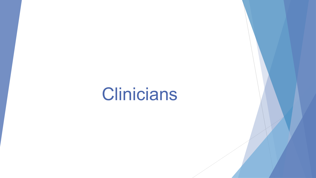# Clinicians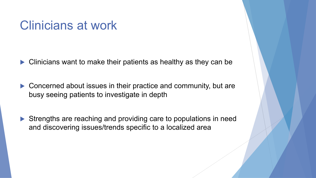#### Clinicians at work

- $\blacktriangleright$  Clinicians want to make their patients as healthy as they can be
- $\blacktriangleright$  Concerned about issues in their practice and community, but are busy seeing patients to investigate in depth
- $\blacktriangleright$  Strengths are reaching and providing care to populations in need and discovering issues/trends specific to a localized area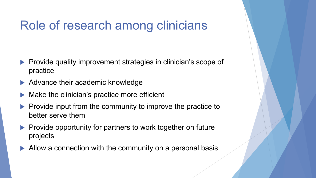## Role of research among clinicians

- Provide quality improvement strategies in clinician's scope of practice
- $\blacktriangleright$  Advance their academic knowledge
- Make the clinician's practice more efficient
- Provide input from the community to improve the practice to better serve them
- $\blacktriangleright$  Provide opportunity for partners to work together on future projects
- $\blacktriangleright$  Allow a connection with the community on a personal basis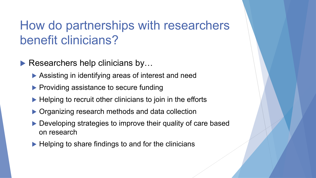## How do partnerships with researchers benefit clinicians?

 $\blacktriangleright$  Researchers help clinicians by...

- $\blacktriangleright$  Assisting in identifying areas of interest and need
- $\blacktriangleright$  Providing assistance to secure funding
- $\blacktriangleright$  Helping to recruit other clinicians to join in the efforts
- $\triangleright$  Organizing research methods and data collection
- $\blacktriangleright$  Developing strategies to improve their quality of care based on research
- $\blacktriangleright$  Helping to share findings to and for the clinicians